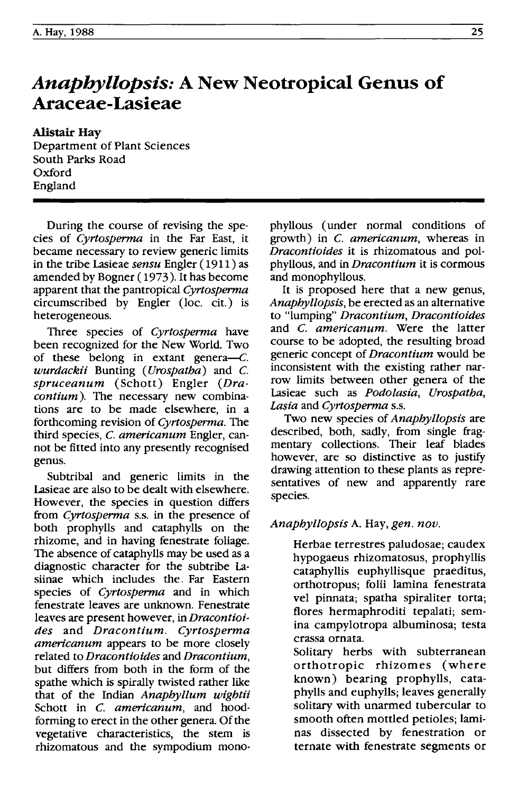# *Anaphyllopsis:* **A New Neotropical Genus of Araceae-Lasieae**

Alistair Hay Department of Plant Sciences South Parks Road Oxford England

During the course of revising the species of *Cyrtosperma* in the Far East, it became necessary to review generic limits in the tribe Lasieae *sensu* Engler ( 1911 ) as amended by Bogner ( 1973 ). It has become apparent that the pantropical *Cyrtosperma* circumscribed by Engler (loc. cit.) is heterogeneous.

Three species of *Cyrtosperma* have been recognized for the New World. Two of these belong in extant genera- $C$ . *wurdackii* Bunting *(Urospatba)* and C. *spruceanum* (Schott) Engler *(Dracontium).* The necessary new combinations are to be made elsewhere, in a forthcoming revision of *Cyrtosperma.* The third species, C. *americanum* Engler, cannot be fitted into any presently recognised genus.

Subtribal and generic limits in the Lasieae are also to be dealt with elsewhere. However, the species in question differs from *Cyrtosperma* s.S. in the presence of both prophylls and cataphylls on the rhizome, and in having fenestrate foliage. The absence of cataphylls may be used as a diagnostic character for the subtribe Lasiinae which includes the. Far Eastern species of *Cyrtosperma* and in which fenestrate leaves are unknown. Fenestrate leaves are present however, in *Dracontioides* and *Dracontium. Cyrtosperma americanum* appears to be more closely related to *Dracontioides* and *Dracontium,*  but differs from both in the form of the spathe which is spirally twisted rather like that of the Indian *Anapbyllum wigbtii*  Schott in C. *americanum,* and hoodforming to erect in the other genera. Of the vegetative characteristics, the stem is rhizomatous and the sympodium monophyllous (under normal conditions of growth) in C. *americanum,* whereas in *Dracontioides* it is rhizomatous and polphyllous, and in *Dracontium* it is cormous and monophyllous.

It is proposed here that a new genus, *Anaphyllopsis,* be erected as an alternative to "lumping" *Dracontium, Dracontioides*  and C. *americanum.* Were the latter course to be adopted, the resulting broad generic concept of *Dracontium* would be inconsistent with the existing rather narrow limits between other genera of the Lasieae such as *Podolasia, Urospatba, Lasia* and *Cyrtosperma* s.s.

Two new species of *Anapbyllopsis* are described, both, sadly, from single fragmentary collections. Their leaf blades however, are so distinctive as to justify drawing attention to these plants as representatives of new and apparently rare species.

## *Anapbyllopsis* A. Hay, *gen. nov.*

Herbae terrestres paludosae; caudex hypogaeus rhizomatosus, prophyllis cataphyllis euphyllisque praeditus, orthotropus; folii lamina fenestrata vel pinnata; spatha spiraliter torta; flores hermaphroditi tepalati; semina campylotropa albuminosa; testa crassa ornata.

Solitary herbs with subterranean orthotropic rhizomes (where known) bearing prophylls, cataphylls and euphylls; leaves generally solitary with unarmed tubercular to smooth often mottled petioles; laminas dissected by fenestration or ternate with fenestrate segments or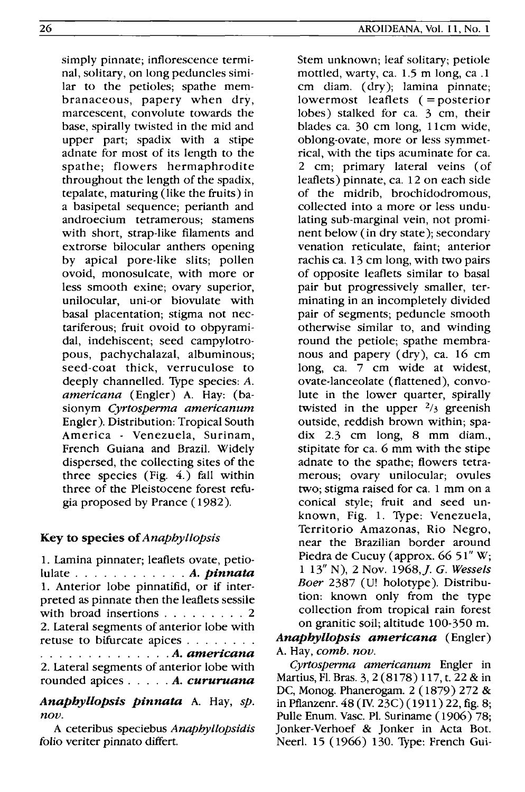simply pinnate; inflorescence terminal, solitary, on long peduncles similar to the petioles; spathe membranaceous, papery when dry, marcescent, convolute towards the base, spirally twisted in the mid and upper part; spadix with a stipe adnate for most of its length to the spathe; flowers hermaphrodite throughout the length of the spadix, tepalate, maturing (like the fruits) in a basipetal sequence; perianth and androecium tetramerous; stamens with short, strap-like filaments and extrorse bilocular anthers opening by apical pore-like slits; pollen ovoid, monosulcate, with more or less smooth exine; ovary superior, unilocular, uni-or biovulate with basal placentation; stigma not nectariferous; fruit ovoid to obpyramidal, indehiscent; seed campylotropous, pachychalazal, albuminous; seed-coat thick, verruculose to deeply channelled. Type species: A. *americana* (Engler) A. Hay: (basionym *Cyrtosperma americanum*  Engler). Distribution: Tropical South America - Venezuela, Surinam, French Guiana and Brazil. Widely dispersed, the collecting sites of the three species (Fig. 4.) fall within three of the Pleistocene forest refugia proposed by Prance ( 1982).

# Key to species of *Anapbyllopsis*

1. Lamina pinnater; leaflets ovate, petiolulate . . . . . . . . . . . . *A. pin nata*  1. Anterior lobe pinnatifid, or if interpreted as pinnate then the leaflets sessile with broad insertions . . . . . . . . 2 2. Lateral segments of anterior lobe with retuse to bifurcate apices . . . . . . . . . . . . . . . . . . . . . . *A. americana*  2. Lateral segments of anterior lobe with rounded apices. . . . . *A. cururuana* 

*Anapbyllopsis pinnata* A. Hay, *sp. nov.* 

A ceteribus speciebus *Anaphyllopsidis*  folio veriter pinnato differt.

Stem unknown; leaf solitary; petiole mottled, warty, ca. 1.5 m long, ca .1 cm diam. (dry); lamina pinnate; lowermost leaflets (= posterior lobes) stalked for ca. 3 cm, their blades ca. 30 cm long, 11cm wide, oblong-ovate, more or less symmetrical, with the tips acuminate for ca. 2 cm; primary lateral veins (of leaflets) pinnate, ca. 12 on each side of the midrib, brochidodromous, collected into a more or less undulating sub-marginal vein, not prominent below (in dry state ); secondary venation reticulate, faint; anterior rachis ca. 13 cm long, with two pairs of opposite leaflets similar to basal pair but progressively smaller, terminating in an incompletely divided pair of segments; peduncle smooth otherwise similar to, and winding round the petiole; spathe membranous and papery (dry), ca. 16 cm long, ca. 7 cm wide at widest, ovate-lanceolate (flattened), convolute in the lower quarter, spirally twisted in the upper  $\frac{2}{3}$  greenish outside, reddish brown within; spadix 2.3 cm long, 8 mm diam., stipitate for ca. 6 mm with the stipe adnate to the spathe; flowers tetramerous; ovary unilocular; ovules two; stigma raised for ca. 1 mm on a conical style; fruit and seed unknown, Fig. 1. Type: Venezuela, Territorio Amazonas, Rio Negro, near the Brazilian border around Piedra de Cucuy (approx. 66 51" W; 1 13" N), 2 Nov. 1968,]. G. *Wessels Boer* 2387 (U! holotype). Distribution: known only from the type collection from tropical rain forest on granitic soil; altitude 100-350 m.

# *Anaphyllopsis americana* (Engler) A. Hay, *comb. nov.*

*Cyrtosperma americanum* Engler in Martius, Fl. Bras. 3,2 (8178) 117, t. 22 & in DC, Monog. Phanerogam. 2 (1879) 272 & in Pflanzenr. 48 (IV. 23C)(1911) 22, fig. 8; Pulle Enum. Vasc. Pl. Suriname (1906) 78; Jonker-Verhoef & Jonker in Acta Bot. Neerl. 15 (1966) 130. Type: French Gui-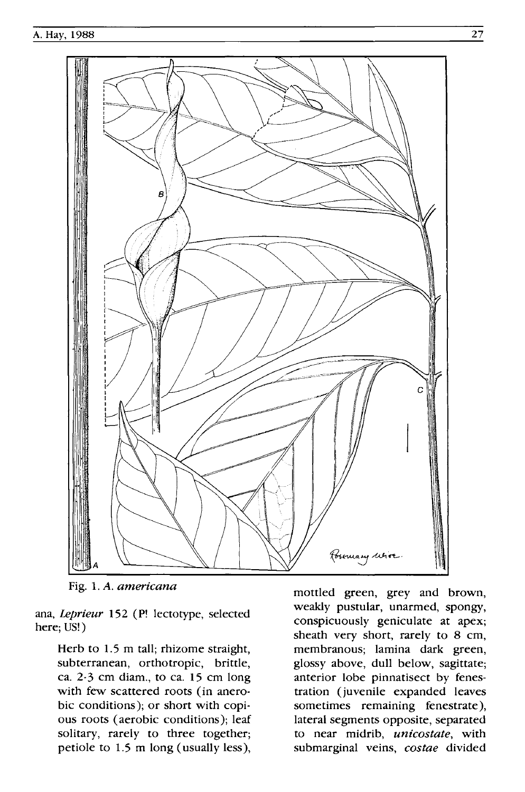

Fig. l. A. *americana* 

ana, *Leprieur* 152 (P! lectotype, selected here; US!)

> Herb to 1.5 m tall; rhizome straight, subterranean, orthotropic, brittle, ca. 2-3 cm diam., to ca. 15 cm long with few scattered roots (in anerobic conditions); or short with copious roots (aerobic conditions); leaf solitary, rarely to three together; petiole to l.5 m long (usually less),

mottled green, grey and brown, weakly pustular, unarmed, spongy, conspicuously geniculate at apex; sheath very short, rarely to 8 cm, membranous; lamina dark green, glossy above, dull below, sagittate; anterior lobe pinnatisect by fenestration (juvenile expanded leaves sometimes remaining fenestrate), lateral segments opposite, separated to near midrib, *unicostate,* with submarginal veins, *costae* divided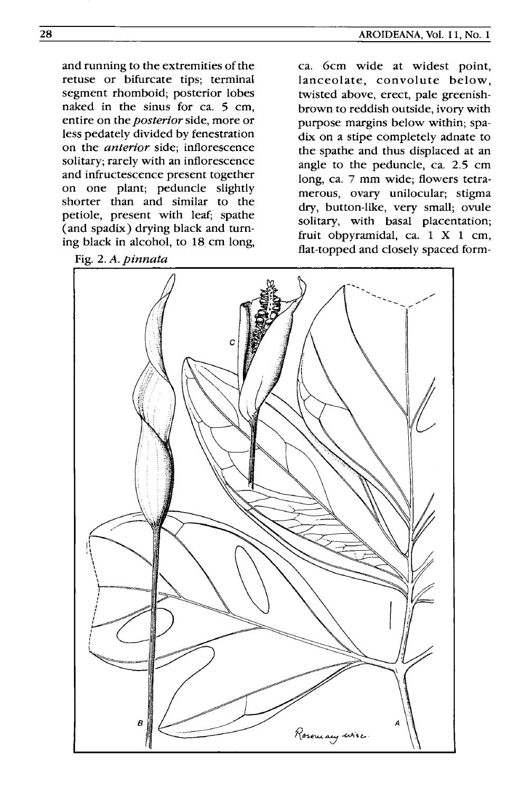and running to the extremities of the retuse or bifurcate tips; terminal segment rhomboid; posterior lobes naked in the sinus for ca. 5 cm, entire on the *posterior* side, more or less pedately divided by fenestration on the *anterior* side; inflorescence solitary; rarely with an inflorescence and infructescence present together on one plant; peduncle slightly shorter than and similar to the petiole, present with leaf; spathe (and spadix) drying black and turning black in alcohol, to 18 cm long,

Fig. 2. *A. pinnata* 

ca. 6cm wide at widest point, lanceolate, convolute below, twisted above, erect, pale greenishbrown to reddish outside, ivory with purpose margins below within; spadix on a stipe completely adnate to the spathe and thus displaced at an angle to the peduncle, ca. 2.5 cm long, ca. 7 mm wide; flowers tetramerous, ovary unilocular; stigma dry, button-like, very small; ovule solitary, with basal placentation; fruit obpyramidal, ca. 1 X 1 cm, flat-topped and closely spaced form-

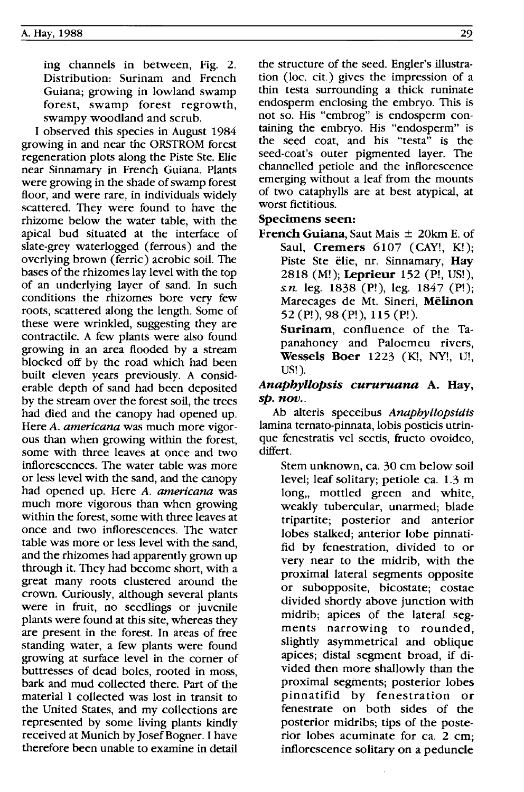ing channels in between, Fig. 2. Distribution: Surinam and French Guiana; growing in lowland swamp forest, swamp forest regrowth, swampy woodland and scrub.

I observed this species in August 1984 growing in and near the ORSTROM forest regeneration plots along the Piste Ste. Elie near Sinnamary in French Guiana. Plants were growing in the shade of swamp forest floor, and were rare, in individuals widely scattered. They were found to have the rhizome below the water table, with the apical bud situated at the interface of slate-grey waterlogged (ferrous) and the overlying brown (ferric) aerobic soil. The bases of the rhizomes lay level with the top of an underlying layer of sand. In such conditions the rhizomes bore very few roots, scattered along the length. Some of these were wrinkled, suggesting they are contractile. A few plants were also found growing in an area flooded by a stream blocked off by the road which had been built eleven years previously. A considerable depth of sand had been deposited by the stream over the forest soil, the trees had died and the canopy had opened up. Here *A. americana* was much more vigorous than when growing within the forest, some with three leaves at once and two inflorescences. The water table was more or less level with the sand, and the canopy had opened up. Here *A. americana* was much more vigorous than when growing within the forest, some with three leaves at once and two inflorescences. The water table was more or less level with the sand, and the rhizomes had apparently grown up through it. They had become short, with a great many roots clustered around the crown. Curiously, although several plants were in fruit, no seedlings or juvenile plants were found at this site, whereas they are present in the forest. In areas of free standing water, a few plants were found growing at surface level in the corner of buttresses of dead boles, rooted in moss, bark and mud collected there. Part of the material I collected was lost in transit to the United States, and my collections are represented by some living plants kindly received at Munich by Josef Bogner. I have therefore been unable to examine in detail the structure of the seed. Engler's illustration (loc. cit.) gives the impression of a thin testa surrounding a thick runinate endosperm enclosing the embryo. This is not so. His "embrog" is endosperm containing the embryo. His "endosperm" is the seed coat, and his "testa" is the seed-coat's outer pigmented layer. The channelled petiole and the inflorescence emerging without a leaf from the mounts of two cataphylls are at best atypical, at worst fictitious.

#### Specimens seen:

**French Guiana, Saut Mais**  $\pm$  **20km E. of** Saul, **Cremers** 6107 (CAY!, K!); Piste Ste elie, nr. Sinnamary, Hay 2818 (M!); Leprieur 152 (P!, US!), *s.n.* leg. 1838 (P!), leg. 1847 (P!); Marecages de Mt. Sineri, Mëlinon 52 (P!), 98 (P!), 115 (P!).

Surinam, confluence of the Tapanahoney and Paloemeu rivers, Wessels Boer 1223 (Kl, NY!, U!, US!).

### *Anaphyllopsis cururuana* A. Hay, *sp. nov..*

Ab alteris speceibus *Anaphyllopsidis*  lamina ternato-pinnata, lobis posticis utrinque fenestratis vel sectis, fructo ovoideo, differt.

Stem unknown, ca. 30 cm below soil level; leaf solitary; petiole ca. 1.3 m long, mottled green and white, weakly tubercular, unarmed; blade tripartite; posterior and anterior lobes stalked; anterior lobe pinnatifid by fenestration, divided to or very near to the midrib, with the proximal lateral segments opposite or subopposite, bicostate; costae divided shortly above junction with midrib; apices of the lateral segments narrowing to rounded, slightly asymmetrical and oblique apices; distal segment broad, if divided then more shallowly than the proximal segments; posterior lobes pinnatifid by fenestration or fenestrate on both sides of the posterior midribs; tips of the posterior lobes acuminate for ca. 2 cm; inflorescence solitary on a peduncle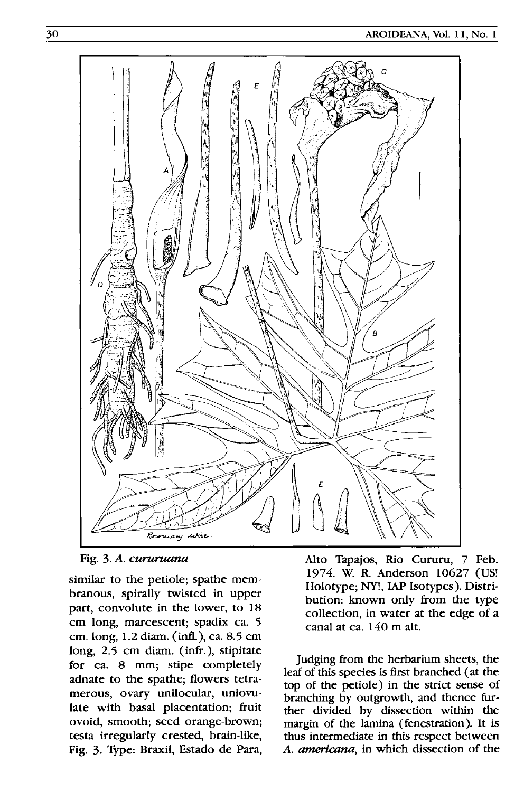

Fig. 3. A. cururuana

similar to the petiole; spathe membranous, spirally twisted in upper part, convolute in the lower, to 18 cm long, marcescent; spadix ca. 5 cm. long, 1.2 diarn. (intl.), ca. 8.5 cm long, 2.5 cm diam. (infr.), stipitate for ca. 8 mm; stipe completely adnate to the spathe; flowers tetramerous, ovary unilocular, uniovulate with basal placentation; fruit ovoid, smooth; seed orange-brown; testa irregularly crested, brain-like, Fig. 3. Type: Braxil, Estado de Para,

Alto Tapajos, Rio Cururu, 7 Feb. 1974. W. R. Anderson 10627 (US! Holotype; NY!, lAP Isotypes). Distribution: known only from the type collection, in water at the edge of a canal at ca. 140 m alt.

Judging from the herbarium sheets, the leaf of this species is first branched (at the top of the petiole) in the strict sense of branching by outgrowth, and thence further divided by dissection within the margin of the lamina (fenestration). It is thus intermediate in this respect between *A. americana,* in which dissection of the